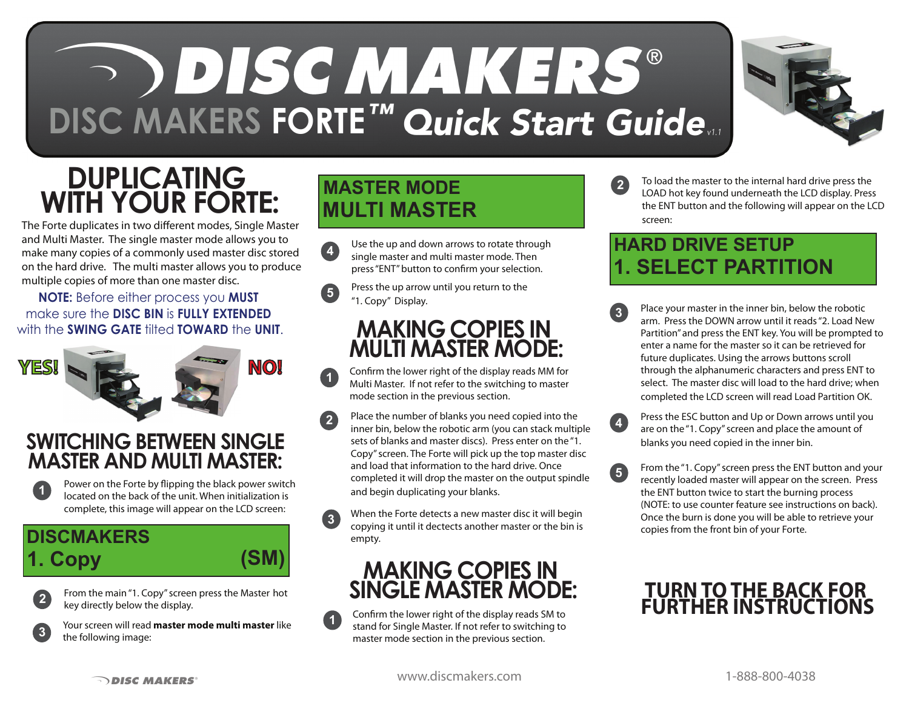# **SODISC MAKERS®** DISC MAKERS FORTE<sup>TM</sup> Quick Start Guide...

**1**

## **DUPLICATING WITH YOUR FORTE:**

The Forte duplicates in two different modes, Single Master and Multi Master. The single master mode allows you to make many copies of a commonly used master disc stored on the hard drive. The multi master allows you to produce multiple copies of more than one master disc.

#### **NOTE:** Before either process you **MUST**  make sure the **DISC BIN** is **FULLY EXTENDED** with the **SWING GATE** tilted **TOWARD** the **UNIT**.



#### **SWITCHING BETWEEN SINGLE MASTER AND MULTI MASTER:**



Power on the Forte by flipping the black power switch located on the back of the unit. When initialization is complete, this image will appear on the LCD screen:

#### **DISCMAKERS** 1. Copy



From the main "1. Copy" screen press the Master hot key directly below the display.



Your screen will read **master mode multi master** like the following image:

### **MASTER MODE MULTI MASTER**

Use the up and down arrows to rotate through single master and multi master mode. Then press "ENT" button to confirm your selection. **4**

Press the up arrow until you return to the "1. Copy" Display. **5**

#### **MAKING COPIES IN MULTI MASTER MODE:**

Confirm the lower right of the display reads MM for Multi Master. If not refer to the switching to master mode section in the previous section.

- Place the number of blanks you need copied into the inner bin, below the robotic arm (you can stack multiple sets of blanks and master discs). Press enter on the "1. Copy" screen. The Forte will pick up the top master disc and load that information to the hard drive. Once completed it will drop the master on the output spindle and begin duplicating your blanks. **2**
- **3** When the Forte detects a new master disc it will begin copying it until it dectects another master or the bin is empty.

#### **MAKING COPIES IN SINGLE MASTER MODE:**

Confirm the lower right of the display reads SM to stand for Single Master. If not refer to switching to master mode section in the previous section. **1**



To load the master to the internal hard drive press the LOAD hot key found underneath the LCD display. Press the ENT button and the following will appear on the LCD screen: **2**

#### **HARD DRIVE SETUP 1. SELECT PARTITION**

- **3** Place your master in the inner bin, below the robotic arm. Press the DOWN arrow until it reads "2. Load New Partition" and press the ENT key. You will be prompted to enter a name for the master so it can be retrieved for future duplicates. Using the arrows buttons scroll through the alphanumeric characters and press ENT to select. The master disc will load to the hard drive; when completed the LCD screen will read Load Partition OK.
- Press the ESC button and Up or Down arrows until you are on the "1. Copy" screen and place the amount of blanks you need copied in the inner bin. **4**
- From the "1. Copy" screen press the ENT button and your recently loaded master will appear on the screen. Press the ENT button twice to start the burning process (NOTE: to use counter feature see instructions on back). Once the burn is done you will be able to retrieve your copies from the front bin of your Forte. **5**

#### **TURN TO THE BACK FOR FURTHER INSTRUCTIONS**

**The ST DISC MAKERS** MEXIC WWW.discmakers.com 1-888-800-4038